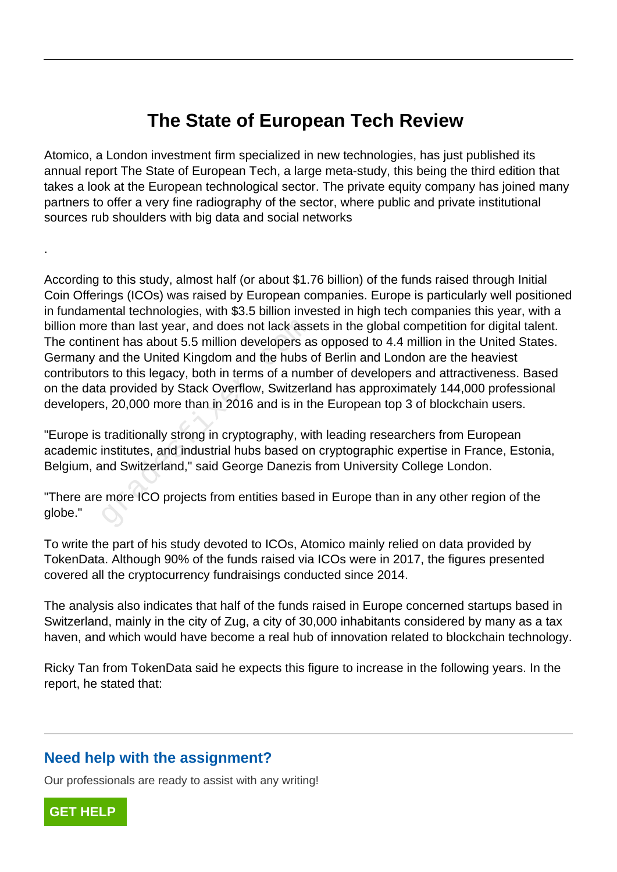## **The State of European Tech Review**

Atomico, a London investment firm specialized in new technologies, has just published its annual report The State of European Tech, a large meta-study, this being the third edition that takes a look at the European technological sector. The private equity company has joined many partners to offer a very fine radiography of the sector, where public and private institutional sources rub shoulders with big data and social networks

According to this study, almost half (or about \$1.76 billion) of the funds raised through Initial Coin Offerings (ICOs) was raised by European companies. Europe is particularly well positioned in fundamental technologies, with \$3.5 billion invested in high tech companies this year, with a billion more than last year, and does not lack assets in the global competition for digital talent. The continent has about 5.5 million developers as opposed to 4.4 million in the United States. Germany and the United Kingdom and the hubs of Berlin and London are the heaviest contributors to this legacy, both in terms of a number of developers and attractiveness. Based on the data provided by Stack Overflow, Switzerland has approximately 144,000 professional developers, 20,000 more than in 2016 and is in the European top 3 of blockchain users. e than last year, and does not lack ass<br>ent has about 5.5 million developers as<br>and the United Kingdom and the hubs of<br>rs to this legacy, both in terms of a num<br>a provided by Stack Overflow, Switzerla<br>s, 20,000 more than i

"Europe is traditionally strong in cryptography, with leading researchers from European academic institutes, and industrial hubs based on cryptographic expertise in France, Estonia, Belgium, and Switzerland," said George Danezis from University College London.

"There are more ICO projects from entities based in Europe than in any other region of the globe."

To write the part of his study devoted to ICOs, Atomico mainly relied on data provided by TokenData. Although 90% of the funds raised via ICOs were in 2017, the figures presented covered all the cryptocurrency fundraisings conducted since 2014.

The analysis also indicates that half of the funds raised in Europe concerned startups based in Switzerland, mainly in the city of Zug, a city of 30,000 inhabitants considered by many as a tax haven, and which would have become a real hub of innovation related to blockchain technology.

Ricky Tan from TokenData said he expects this figure to increase in the following years. In the report, he stated that:

## **Need help with the assignment?**

Our professionals are ready to assist with any writing!



.